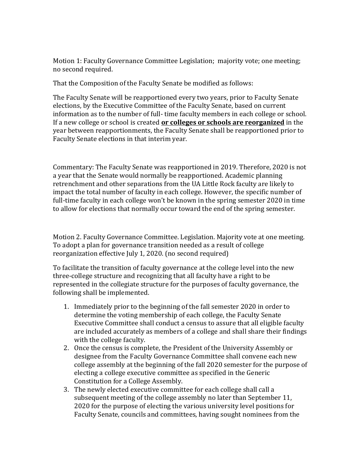Motion 1: Faculty Governance Committee Legislation; majority vote; one meeting; no second required.

That the Composition of the Faculty Senate be modified as follows:

The Faculty Senate will be reapportioned every two years, prior to Faculty Senate elections, by the Executive Committee of the Faculty Senate, based on current information as to the number of full- time faculty members in each college or school. If a new college or school is created **or colleges or schools are reorganized** in the year between reapportionments, the Faculty Senate shall be reapportioned prior to Faculty Senate elections in that interim year.

Commentary: The Faculty Senate was reapportioned in 2019. Therefore, 2020 is not a year that the Senate would normally be reapportioned. Academic planning retrenchment and other separations from the UA Little Rock faculty are likely to impact the total number of faculty in each college. However, the specific number of full-time faculty in each college won't be known in the spring semester 2020 in time to allow for elections that normally occur toward the end of the spring semester.

Motion 2. Faculty Governance Committee. Legislation. Majority vote at one meeting. To adopt a plan for governance transition needed as a result of college reorganization effective July 1, 2020. (no second required)

To facilitate the transition of faculty governance at the college level into the new three-college structure and recognizing that all faculty have a right to be represented in the collegiate structure for the purposes of faculty governance, the following shall be implemented.

- 1. Immediately prior to the beginning of the fall semester 2020 in order to determine the voting membership of each college, the Faculty Senate Executive Committee shall conduct a census to assure that all eligible faculty are included accurately as members of a college and shall share their findings with the college faculty.
- 2. Once the census is complete, the President of the University Assembly or designee from the Faculty Governance Committee shall convene each new college assembly at the beginning of the fall 2020 semester for the purpose of electing a college executive committee as specified in the Generic Constitution for a College Assembly.
- 3. The newly elected executive committee for each college shall call a subsequent meeting of the college assembly no later than September 11, 2020 for the purpose of electing the various university level positions for Faculty Senate, councils and committees, having sought nominees from the